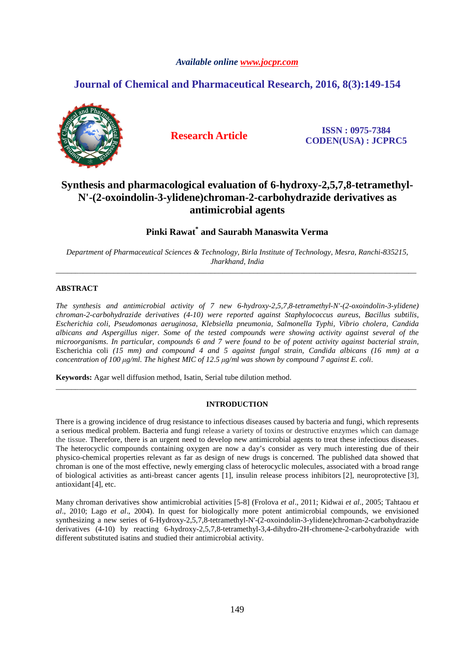# *Available online www.jocpr.com*

# **Journal of Chemical and Pharmaceutical Research, 2016, 8(3):149-154**



**Research Article ISSN : 0975-7384 CODEN(USA) : JCPRC5**

# **Synthesis and pharmacological evaluation of 6-hydroxy-2,5,7,8-tetramethyl-N'-(2-oxoindolin-3-ylidene)chroman-2-carbohydrazide derivatives as antimicrobial agents**

# **Pinki Rawat\* and Saurabh Manaswita Verma**

*Department of Pharmaceutical Sciences & Technology, Birla Institute of Technology, Mesra, Ranchi-835215, Jharkhand, India* \_\_\_\_\_\_\_\_\_\_\_\_\_\_\_\_\_\_\_\_\_\_\_\_\_\_\_\_\_\_\_\_\_\_\_\_\_\_\_\_\_\_\_\_\_\_\_\_\_\_\_\_\_\_\_\_\_\_\_\_\_\_\_\_\_\_\_\_\_\_\_\_\_\_\_\_\_\_\_\_\_\_\_\_\_\_\_\_\_\_\_\_\_

# **ABSTRACT**

*The synthesis and antimicrobial activity of 7 new 6-hydroxy-2,5,7,8-tetramethyl-N'-(2-oxoindolin-3-ylidene) chroman-2-carbohydrazide derivatives (4-10) were reported against Staphylococcus aureus*, *Bacillus subtilis, Escherichia coli*, *Pseudomonas aeruginosa*, *Klebsiella pneumonia, Salmonella Typhi, Vibrio cholera, Candida albicans and Aspergillus niger. Some of the tested compounds were showing activity against several of the microorganisms. In particular, compounds 6 and 7 were found to be of potent activity against bacterial strain,*  Escherichia coli *(15 mm) and compound 4 and 5 against fungal strain, Candida albicans (16 mm) at a concentration of 100 µg/ml. The highest MIC of 12.5 µg/ml was shown by compound 7 against E. coli.*

**Keywords:** Agar well diffusion method, Isatin, Serial tube dilution method.

# **INTRODUCTION**

\_\_\_\_\_\_\_\_\_\_\_\_\_\_\_\_\_\_\_\_\_\_\_\_\_\_\_\_\_\_\_\_\_\_\_\_\_\_\_\_\_\_\_\_\_\_\_\_\_\_\_\_\_\_\_\_\_\_\_\_\_\_\_\_\_\_\_\_\_\_\_\_\_\_\_\_\_\_\_\_\_\_\_\_\_\_\_\_\_\_\_\_\_

There is a growing incidence of drug resistance to infectious diseases caused by bacteria and fungi, which represents a serious medical problem. Bacteria and fungi release a variety of toxins or destructive enzymes which can damage the tissue. Therefore, there is an urgent need to develop new antimicrobial agents to treat these infectious diseases. The heterocyclic compounds containing oxygen are now a day's consider as very much interesting due of their physico-chemical properties relevant as far as design of new drugs is concerned. The published data showed that chroman is one of the most effective, newly emerging class of heterocyclic molecules, associated with a broad range of biological activities as anti-breast cancer agents [1], insulin release process inhibitors [2], neuroprotective [3], antioxidant[4], etc.

Many chroman derivatives show antimicrobial activities [5-8] (Frolova *et al*., 2011; Kidwai *et al*., 2005; Tahtaou *et al*., 2010; Lago *et al*., 2004). In quest for biologically more potent antimicrobial compounds, we envisioned synthesizing a new series of 6-Hydroxy-2,5,7,8-tetramethyl-N'-(2-oxoindolin-3-ylidene)chroman-2-carbohydrazide derivatives (4-10) by reacting 6-hydroxy-2,5,7,8-tetramethyl-3,4-dihydro-2H-chromene-2-carbohydrazide with different substituted isatins and studied their antimicrobial activity.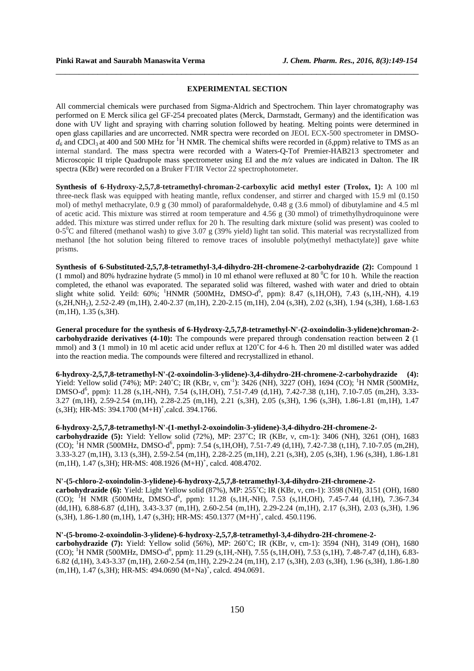### **EXPERIMENTAL SECTION**

\_\_\_\_\_\_\_\_\_\_\_\_\_\_\_\_\_\_\_\_\_\_\_\_\_\_\_\_\_\_\_\_\_\_\_\_\_\_\_\_\_\_\_\_\_\_\_\_\_\_\_\_\_\_\_\_\_\_\_\_\_\_\_\_\_\_\_\_\_\_\_\_\_\_\_\_\_\_

All commercial chemicals were purchased from Sigma-Aldrich and Spectrochem. Thin layer chromatography was performed on E Merck silica gel GF-254 precoated plates (Merck, Darmstadt, Germany) and the identification was done with UV light and spraying with charring solution followed by heating. Melting points were determined in open glass capillaries and are uncorrected. NMR spectra were recorded on JEOL ECX-500 spectrometer in DMSO $d_6$  and CDCl<sub>3</sub> at 400 and 500 MHz for <sup>1</sup>H NMR. The chemical shifts were recorded in ( $\delta$ ,ppm) relative to TMS as an internal standard. The mass spectra were recorded with a Waters-Q-Tof Premier-HAB213 spectrometer and Microscopic II triple Quadrupole mass spectrometer using EI and the *m/z* values are indicated in Dalton. The IR spectra (KBr) were recorded on a Bruker FT/IR Vector 22 spectrophotometer.

**Synthesis of 6-Hydroxy-2,5,7,8-tetramethyl-chroman-2-carboxylic acid methyl ester (Trolox, 1):** A 100 ml three-neck flask was equipped with heating mantle, reflux condenser, and stirrer and charged with 15.9 ml (0.150 mol) of methyl methacrylate, 0.9 g (30 mmol) of paraformaldehyde, 0.48 g (3.6 mmol) of dibutylamine and 4.5 ml of acetic acid. This mixture was stirred at room temperature and 4.56 g (30 mmol) of trimethylhydroquinone were added. This mixture was stirred under reflux for 20 h. The resulting dark mixture (solid was present) was cooled to  $0-5^{\circ}$ C and filtered (methanol wash) to give 3.07 g (39% yield) light tan solid. This material was recrystallized from methanol [the hot solution being filtered to remove traces of insoluble poly(methyl methactylate)] gave white prisms.

**Synthesis of 6-Substituted-2,5,7,8-tetramethyl-3,4-dihydro-2H-chromene-2-carbohydrazide (2):** Compound 1 (1 mmol) and 80% hydrazine hydrate (5 mmol) in 10 ml ethanol were refluxed at 80 $\rm{^{0}C}$  for 10 h. While the reaction completed, the ethanol was evaporated. The separated solid was filtered, washed with water and dried to obtain slight white solid. Yeild:  $60\%$ ; <sup>1</sup>HNMR (500MHz, DMSO-d<sup>6</sup>, ppm): 8.47 (s,1H,OH), 7.43 (s,1H,-NH), 4.19 (s,2H,NH2), 2.52-2.49 (m,1H), 2.40-2.37 (m,1H), 2.20-2.15 (m,1H), 2.04 (s,3H), 2.02 (s,3H), 1.94 (s,3H), 1.68-1.63  $(m,1H), 1.35$  (s, 3H).

**General procedure for the synthesis of 6-Hydroxy-2,5,7,8-tetramethyl-N'-(2-oxoindolin-3-ylidene)chroman-2 carbohydrazide derivatives (4-10):** The compounds were prepared through condensation reaction between **2** (1 mmol) and **3** (1 mmol) in 10 ml acetic acid under reflux at 120˚C for 4-6 h. Then 20 ml distilled water was added into the reaction media. The compounds were filtered and recrystallized in ethanol.

**6-hydroxy-2,5,7,8-tetramethyl-N'-(2-oxoindolin-3-ylidene)-3,4-dihydro-2H-chromene-2-carbohydrazide (4):**  Yield: Yellow solid (74%); MP: 240°C; IR (KBr, v, cm<sup>-1</sup>): 3426 (NH), 3227 (OH), 1694 (CO); <sup>1</sup>H NMR (500MHz, DMSO-d<sup>6</sup>, ppm): 11.28 (s,1H,-NH), 7.54 (s,1H,OH), 7.51-7.49 (d,1H), 7.42-7.38 (t,1H), 7.10-7.05 (m,2H), 3.33-3.27 (m,1H), 2.59-2.54 (m,1H), 2.28-2.25 (m,1H), 2.21 (s,3H), 2.05 (s,3H), 1.96 (s,3H), 1.86-1.81 (m,1H), 1.47  $(s,3H)$ ; HR-MS: 394.1700  $(M+H)^{+}$ , calcd. 394.1766.

### **6-hydroxy-2,5,7,8-tetramethyl-N'-(1-methyl-2-oxoindolin-3-ylidene)-3,4-dihydro-2H-chromene-2-**

**carbohydrazide (5):** Yield: Yellow solid (72%), MP: 237˚C; IR (KBr, ν, cm-1): 3406 (NH), 3261 (OH), 1683 (CO); <sup>1</sup>H NMR (500MHz, DMSO-d<sup>6</sup>, ppm): 7.54 (s,1H,OH), 7.51-7.49 (d,1H), 7.42-7.38 (t,1H), 7.10-7.05 (m,2H), 3.33-3.27 (m,1H), 3.13 (s,3H), 2.59-2.54 (m,1H), 2.28-2.25 (m,1H), 2.21 (s,3H), 2.05 (s,3H), 1.96 (s,3H), 1.86-1.81  $(m, 1H)$ , 1.47 (s, 3H); HR-MS: 408.1926  $(M+H)^{+}$ , calcd. 408.4702.

#### **N'-(5-chloro-2-oxoindolin-3-ylidene)-6-hydroxy-2,5,7,8-tetramethyl-3,4-dihydro-2H-chromene-2-**

**carbohydrazide (6):** Yield: Light Yellow solid (87%), MP: 255˚C; IR (KBr, ν, cm-1): 3598 (NH), 3151 (OH), 1680 (CO); <sup>I</sup>H NMR (500MHz, DMSO-d<sup>6</sup>, ppm): 11.28 (s,1H,-NH), 7.53 (s,1H,OH), 7.45-7.44 (d,1H), 7.36-7.34 (dd,1H), 6.88-6.87 (d,1H), 3.43-3.37 (m,1H), 2.60-2.54 (m,1H), 2.29-2.24 (m,1H), 2.17 (s,3H), 2.03 (s,3H), 1.96 (s,3H), 1.86-1.80 (m,1H), 1.47 (s,3H); HR-MS: 450.1377 (M+H)<sup>+</sup> , calcd. 450.1196.

# **N'-(5-bromo-2-oxoindolin-3-ylidene)-6-hydroxy-2,5,7,8-tetramethyl-3,4-dihydro-2H-chromene-2-**

**carbohydrazide (7):** Yield: Yellow solid (56%), MP: 260˚C; IR (KBr, ν, cm-1): 3594 (NH), 3149 (OH), 1680 (CO); <sup>1</sup>H NMR (500MHz, DMSO-d<sup>6</sup>, ppm): 11.29 (s,1H,-NH), 7.55 (s,1H,OH), 7.53 (s,1H), 7.48-7.47 (d,1H), 6.83-6.82 (d,1H), 3.43-3.37 (m,1H), 2.60-2.54 (m,1H), 2.29-2.24 (m,1H), 2.17 (s,3H), 2.03 (s,3H), 1.96 (s,3H), 1.86-1.80  $(m, 1H)$ , 1.47 (s, 3H); HR-MS: 494.0690  $(M+Na)^+$ , calcd. 494.0691.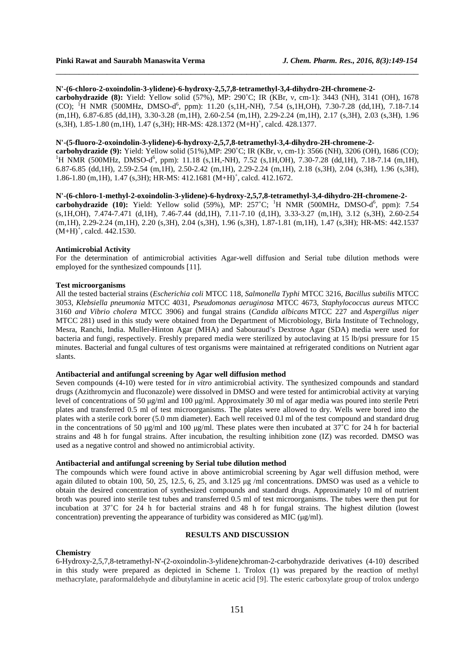#### **N'-(6-chloro-2-oxoindolin-3-ylidene)-6-hydroxy-2,5,7,8-tetramethyl-3,4-dihydro-2H-chromene-2-**

**carbohydrazide (8):** Yield: Yellow solid (57%), MP: 290˚C; IR (KBr, ν, cm-1): 3443 (NH), 3141 (OH), 1678 (CO); <sup>1</sup>H NMR (500MHz, DMSO-d<sup>6</sup>, ppm): 11.20 (s,1H,-NH), 7.54 (s,1H,OH), 7.30-7.28 (dd,1H), 7.18-7.14 (m,1H), 6.87-6.85 (dd,1H), 3.30-3.28 (m,1H), 2.60-2.54 (m,1H), 2.29-2.24 (m,1H), 2.17 (s,3H), 2.03 (s,3H), 1.96 (s,3H), 1.85-1.80 (m,1H), 1.47 (s,3H); HR-MS: 428.1372 (M+H)<sup>+</sup> , calcd. 428.1377.

\_\_\_\_\_\_\_\_\_\_\_\_\_\_\_\_\_\_\_\_\_\_\_\_\_\_\_\_\_\_\_\_\_\_\_\_\_\_\_\_\_\_\_\_\_\_\_\_\_\_\_\_\_\_\_\_\_\_\_\_\_\_\_\_\_\_\_\_\_\_\_\_\_\_\_\_\_\_

### **N'-(5-fluoro-2-oxoindolin-3-ylidene)-6-hydroxy-2,5,7,8-tetramethyl-3,4-dihydro-2H-chromene-2-**

**carbohydrazide (9):** Yield: Yellow solid (51%),MP: 290˚C; IR (KBr, ν, cm-1): 3566 (NH), 3206 (OH), 1686 (CO); <sup>1</sup>H NMR (500MHz, DMSO-d<sup>6</sup>, ppm): 11.18 (s,1H,-NH), 7.52 (s,1H,OH), 7.30-7.28 (dd,1H), 7.18-7.14 (m,1H), 6.87-6.85 (dd,1H), 2.59-2.54 (m,1H), 2.50-2.42 (m,1H), 2.29-2.24 (m,1H), 2.18 (s,3H), 2.04 (s,3H), 1.96 (s,3H), 1.86-1.80 (m, 1H), 1.47 (s, 3H); HR-MS: 412.1681 (M+H)<sup>+</sup>, calcd. 412.1672.

# **N'-(6-chloro-1-methyl-2-oxoindolin-3-ylidene)-6-hydroxy-2,5,7,8-tetramethyl-3,4-dihydro-2H-chromene-2-**

carbohydrazide (10): Yield: Yellow solid (59%), MP: 257°C; <sup>1</sup>H NMR (500MHz, DMSO-d<sup>6</sup>, ppm): 7.54 (s,1H,OH), 7.474-7.471 (d,1H), 7.46-7.44 (dd,1H), 7.11-7.10 (d,1H), 3.33-3.27 (m,1H), 3.12 (s,3H), 2.60-2.54 (m,1H), 2.29-2.24 (m,1H), 2.20 (s,3H), 2.04 (s,3H), 1.96 (s,3H), 1.87-1.81 (m,1H), 1.47 (s,3H); HR-MS: 442.1537  $(M+H)^{+}$ , calcd. 442.1530.

### **Antimicrobial Activity**

For the determination of antimicrobial activities Agar-well diffusion and Serial tube dilution methods were employed for the synthesized compounds [11].

# **Test microorganisms**

All the tested bacterial strains (*Escherichia coli* MTCC 118*, Salmonella Typhi* MTCC 3216*, Bacillus subtilis* MTCC 3053*, Klebsiella pneumonia* MTCC 4031*, Pseudomonas aeruginosa* MTCC 4673*, Staphylococcus aureus* MTCC 3160 *and Vibrio cholera* MTCC 3906) and fungal strains (*Candida albicans* MTCC 227 and *Aspergillus niger* MTCC 281) used in this study were obtained from the Department of Microbiology, Birla Institute of Technology, Mesra, Ranchi, India. Muller-Hinton Agar (MHA) and Sabouraud's Dextrose Agar (SDA) media were used for bacteria and fungi, respectively. Freshly prepared media were sterilized by autoclaving at 15 lb/psi pressure for 15 minutes. Bacterial and fungal cultures of test organisms were maintained at refrigerated conditions on Nutrient agar slants.

# **Antibacterial and antifungal screening by Agar well diffusion method**

Seven compounds (4-10) were tested for *in vitro* antimicrobial activity. The synthesized compounds and standard drugs (Azithromycin and fluconazole) were dissolved in DMSO and were tested for antimicrobial activity at varying level of concentrations of 50 µg/ml and 100 µg/ml. Approximately 30 ml of agar media was poured into sterile Petri plates and transferred 0.5 ml of test microorganisms. The plates were allowed to dry. Wells were bored into the plates with a sterile cork borer (5.0 mm diameter). Each well received 0.l ml of the test compound and standard drug in the concentrations of 50  $\mu$ g/ml and 100  $\mu$ g/ml. These plates were then incubated at 37°C for 24 h for bacterial strains and 48 h for fungal strains. After incubation, the resulting inhibition zone (IZ) was recorded. DMSO was used as a negative control and showed no antimicrobial activity.

### **Antibacterial and antifungal screening by Serial tube dilution method**

The compounds which were found active in above antimicrobial screening by Agar well diffusion method, were again diluted to obtain 100, 50, 25, 12.5, 6, 25, and 3.125 µg /ml concentrations. DMSO was used as a vehicle to obtain the desired concentration of synthesized compounds and standard drugs. Approximately 10 ml of nutrient broth was poured into sterile test tubes and transferred 0.5 ml of test microorganisms. The tubes were then put for incubation at 37˚C for 24 h for bacterial strains and 48 h for fungal strains. The highest dilution (lowest concentration) preventing the appearance of turbidity was considered as MIC ( $\mu$ g/ml).

# **RESULTS AND DISCUSSION**

#### **Chemistry**

6-Hydroxy-2,5,7,8-tetramethyl-N'-(2-oxoindolin-3-ylidene)chroman-2-carbohydrazide derivatives (4-10) described in this study were prepared as depicted in Scheme 1. Trolox (1) was prepared by the reaction of methyl methacrylate, paraformaldehyde and dibutylamine in acetic acid [9]. The esteric carboxylate group of trolox undergo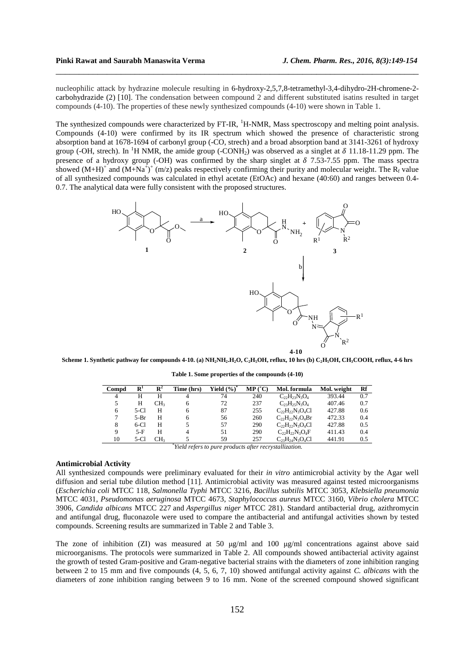nucleophilic attack by hydrazine molecule resulting in 6-hydroxy-2,5,7,8-tetramethyl-3,4-dihydro-2H-chromene-2 carbohydrazide (2) [10]. The condensation between compound 2 and different substituted isatins resulted in target compounds (4-10). The properties of these newly synthesized compounds (4-10) were shown in Table 1.

\_\_\_\_\_\_\_\_\_\_\_\_\_\_\_\_\_\_\_\_\_\_\_\_\_\_\_\_\_\_\_\_\_\_\_\_\_\_\_\_\_\_\_\_\_\_\_\_\_\_\_\_\_\_\_\_\_\_\_\_\_\_\_\_\_\_\_\_\_\_\_\_\_\_\_\_\_\_

The synthesized compounds were characterized by FT-IR, <sup>1</sup>H-NMR, Mass spectroscopy and melting point analysis. Compounds (4-10) were confirmed by its IR spectrum which showed the presence of characteristic strong absorption band at 1678-1694 of carbonyl group (-CO, strech) and a broad absorption band at 3141-3261 of hydroxy group (-OH, strech). In <sup>1</sup>H NMR, the amide group (-CONH<sub>2</sub>) was observed as a singlet at  $\delta$  11.18-11.29 ppm. The presence of a hydroxy group (-OH) was confirmed by the sharp singlet at  $\delta$  7.53-7.55 ppm. The mass spectra showed  $(M+H)^+$  and  $(M+Na^+)^+$  (m/z) peaks respectively confirming their purity and molecular weight. The  $R_f$  value of all synthesized compounds was calculated in ethyl acetate (EtOAc) and hexane (40:60) and ranges between 0.4- 0.7. The analytical data were fully consistent with the proposed structures.



Scheme 1. Synthetic pathway for compounds 4-10. (a) NH<sub>2</sub>NH<sub>2</sub>.H<sub>2</sub>O, C<sub>2</sub>H<sub>3</sub>OH, reflux, 10 hrs (b) C<sub>2</sub>H<sub>3</sub>OH, CH<sub>3</sub>COOH, reflux, 4-6 hrs

| Compd                                                  | $\mathbf{R}^1$ | $\mathbf{R}^2$  | Time (hrs) | Yield $(\%)^*$ | MP('C) | Mol. formula           | Mol. weight | Rf  |  |  |  |
|--------------------------------------------------------|----------------|-----------------|------------|----------------|--------|------------------------|-------------|-----|--|--|--|
| 4                                                      | н              | н               |            | 74             | 240    | $C_{22}H_{23}N_3O_4$   | 393.44      | 0.7 |  |  |  |
| 5                                                      | н              | CH3             | 6          | 72             | 237    | $C_{23}H_{25}N_3O_4$   | 407.46      | 0.7 |  |  |  |
| 6                                                      | 5-Cl           | H               | 6          | 87             | 255    | $C_{22}H_{22}N_3O_4Cl$ | 427.88      | 0.6 |  |  |  |
|                                                        | $5-Br$         | Н               | 6          | 56             | 260    | $C_{22}H_{22}N_3O_4Br$ | 472.33      | 0.4 |  |  |  |
| 8                                                      | 6-CI           | H               |            | 57             | 290    | $C_{22}H_{22}N_3O_4Cl$ | 427.88      | 0.5 |  |  |  |
| Q                                                      | $5-F$          | Н               |            | 51             | 290    | $C_{22}H_{22}N_3O_4F$  | 411.43      | 0.4 |  |  |  |
| 10                                                     | 5-Cl           | CH <sub>3</sub> |            | 59             | 257    | $C_{23}H_{24}N_3O_4Cl$ | 441.91      | 0.5 |  |  |  |
| Yield refers to pure products after recrystallization. |                |                 |            |                |        |                        |             |     |  |  |  |

**Table 1. Some properties of the compounds (4-10)** 

#### **Antimicrobial Activity**

All synthesized compounds were preliminary evaluated for their *in vitro* antimicrobial activity by the Agar well diffusion and serial tube dilution method [11]. Antimicrobial activity was measured against tested microorganisms (*Escherichia coli* MTCC 118*, Salmonella Typhi* MTCC 3216*, Bacillus subtilis* MTCC 3053*, Klebsiella pneumonia*  MTCC 4031*, Pseudomonas aeruginosa* MTCC 4673*, Staphylococcus aureus* MTCC 3160*, Vibrio cholera* MTCC 3906, *Candida albicans* MTCC 227 and *Aspergillus niger* MTCC 281). Standard antibacterial drug, azithromycin and antifungal drug, fluconazole were used to compare the antibacterial and antifungal activities shown by tested compounds. Screening results are summarized in Table 2 and Table 3.

The zone of inhibition (ZI) was measured at 50 µg/ml and 100 µg/ml concentrations against above said microorganisms. The protocols were summarized in Table 2. All compounds showed antibacterial activity against the growth of tested Gram-positive and Gram-negative bacterial strains with the diameters of zone inhibition ranging between 2 to 15 mm and five compounds (4, 5, 6, 7, 10) showed antifungal activity against *C. albicans* with the diameters of zone inhibition ranging between 9 to 16 mm. None of the screened compound showed significant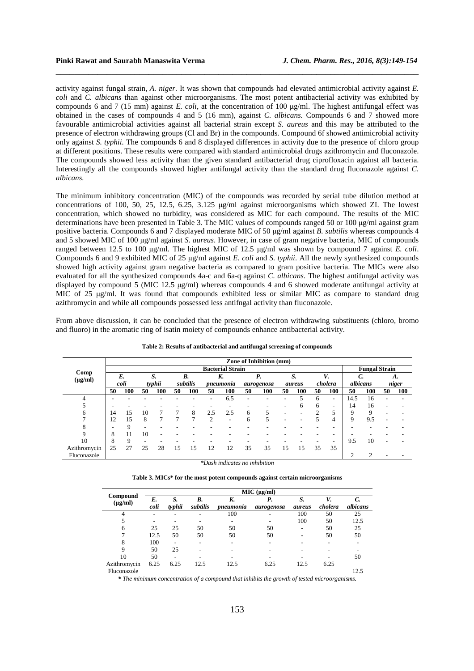activity against fungal strain, *A. niger.* It was shown that compounds had elevated antimicrobial activity against *E. coli* and *C. albicans* than against other microorganisms. The most potent antibacterial activity was exhibited by compounds 6 and 7 (15 mm) against *E. coli*, at the concentration of 100 µg/ml. The highest antifungal effect was obtained in the cases of compounds 4 and 5 (16 mm), against *C. albicans.* Compounds 6 and 7 showed more favourable antimicrobial activities against all bacterial strain except *S. aureus* and this may be attributed to the presence of electron withdrawing groups (Cl and Br) in the compounds*.* Compound 6f showed antimicrobial activity only against *S. typhii.* The compounds 6 and 8 displayed differences in activity due to the presence of chloro group at different positions. These results were compared with standard antimicrobial drugs azithromycin and fluconazole. The compounds showed less activity than the given standard antibacterial drug ciprofloxacin against all bacteria. Interestingly all the compounds showed higher antifungal activity than the standard drug fluconazole against *C. albicans.*

\_\_\_\_\_\_\_\_\_\_\_\_\_\_\_\_\_\_\_\_\_\_\_\_\_\_\_\_\_\_\_\_\_\_\_\_\_\_\_\_\_\_\_\_\_\_\_\_\_\_\_\_\_\_\_\_\_\_\_\_\_\_\_\_\_\_\_\_\_\_\_\_\_\_\_\_\_\_

The minimum inhibitory concentration (MIC) of the compounds was recorded by serial tube dilution method at concentrations of 100, 50, 25, 12.5, 6.25, 3.125 µg/ml against microorganisms which showed ZI. The lowest concentration, which showed no turbidity, was considered as MIC for each compound. The results of the MIC determinations have been presented in Table 3. The MIC values of compounds ranged 50 or 100 µg/ml against gram positive bacteria. Compounds 6 and 7 displayed moderate MIC of 50 µg/ml against *B. subtilis* whereas compounds 4 and 5 showed MIC of 100 µg/ml against *S. aureus*. However, in case of gram negative bacteria, MIC of compounds ranged between 12.5 to 100 µg/ml. The highest MIC of 12.5 µg/ml was shown by compound 7 against *E. coli*. Compounds 6 and 9 exhibited MIC of 25 µg/ml against *E. coli* and *S. typhii*. All the newly synthesized compounds showed high activity against gram negative bacteria as compared to gram positive bacteria. The MICs were also evaluated for all the synthesized compounds 4a-c and 6a-q against *C. albicans*. The highest antifungal activity was displayed by compound 5 (MIC 12.5 µg/ml) whereas compounds 4 and 6 showed moderate antifungal activity at MIC of 25 ug/ml. It was found that compounds exhibited less or similar MIC as compare to standard drug azithromycin and while all compounds possessed less antifngal activity than fluconazole.

From above discussion, it can be concluded that the presence of electron withdrawing substituents (chloro, bromo and fluoro) in the aromatic ring of isatin moiety of compounds enhance antibacterial activity.

|                               | Zone of Inhibition (mm) |     |        |     |          |     |           |     |            |     |        |                      |               |                          |          |     |       |     |
|-------------------------------|-------------------------|-----|--------|-----|----------|-----|-----------|-----|------------|-----|--------|----------------------|---------------|--------------------------|----------|-----|-------|-----|
| Comp<br>$(\mu g/ml)$          | <b>Bacterial Strain</b> |     |        |     |          |     |           |     |            |     |        | <b>Fungal Strain</b> |               |                          |          |     |       |     |
|                               | E.                      |     | S.     |     | В.       |     | K.        |     | Р.         |     | S.     |                      | V.            |                          | C.       |     | А.    |     |
|                               | coli                    |     | typhii |     | subtilis |     | pneumonia |     | aurogenosa |     | aureus |                      | cholera       |                          | albicans |     | niger |     |
|                               | 50                      | 100 | 50     | 100 | 50       | 100 | 50        | 100 | 50         | 100 | 50     | 100                  | 50            | 100                      | 50       | 100 | 50    | 100 |
| 4                             |                         |     |        |     |          |     |           | 6.5 |            |     |        |                      | 6             | -                        | 14.5     | 16  |       |     |
|                               |                         |     |        |     |          |     |           |     |            |     |        | h                    | 6             | $\overline{\phantom{a}}$ | 14       | 16  |       |     |
| 6                             | 14                      | 15  | 10     |     | 7        | 8   | 2.5       | 2.5 | 6          |     |        |                      | $\mathcal{L}$ | 5                        | 9        | 9   |       |     |
|                               | 12                      | 15  | 8      |     | ┑        |     | 2         |     | 6          | 5   |        |                      |               | 4                        | 9        | 9.5 |       |     |
| 8                             |                         | 9   |        |     |          |     |           |     |            |     |        |                      |               | $\overline{\phantom{0}}$ |          |     |       |     |
| 9                             | 8                       | 11  | 10     |     |          |     |           |     |            |     |        |                      |               |                          |          |     |       |     |
| 10                            | 8                       | 9   |        |     |          |     |           |     |            |     |        |                      |               | $\overline{\phantom{0}}$ | 9.5      | 10  |       |     |
| Azithromycin                  | 25                      | 27  | 25     | 28  | 15       | 15  | 12        | 12  | 35         | 35  | 15     | 15                   | 35            | 35                       |          |     |       |     |
| Fluconazole                   |                         |     |        |     |          |     |           |     |            |     |        |                      |               |                          | 2        | 2   |       |     |
| *Dash indicates no inhibition |                         |     |        |     |          |     |           |     |            |     |        |                      |               |                          |          |     |       |     |

**Table 2: Results of antibacterial and antifungal screening of compounds** 

**Table 3. MICs\* for the most potent compounds against certain microorganisms** 

|                          | MIC (µg/ml) |        |          |           |            |        |         |                          |  |  |  |  |
|--------------------------|-------------|--------|----------|-----------|------------|--------|---------|--------------------------|--|--|--|--|
| Compound<br>$(\mu g/ml)$ | E.          | S.     | B.       | K.        | Р.         | S.     | V.      |                          |  |  |  |  |
|                          | coli        | typhii | subtilis | pneumonia | aurogenosa | aureus | cholera | albicans                 |  |  |  |  |
|                          |             |        |          | 100       |            | 100    | 50      | 25                       |  |  |  |  |
|                          |             |        |          |           |            | 100    | 50      | 12.5                     |  |  |  |  |
| 6                        | 25          | 25     | 50       | 50        | 50         | -      | 50      | 25                       |  |  |  |  |
|                          | 12.5        | 50     | 50       | 50        | 50         |        | 50      | 50                       |  |  |  |  |
| 8                        | 100         |        |          |           |            |        |         | $\overline{\phantom{a}}$ |  |  |  |  |
| 9                        | 50          | 25     |          |           |            |        |         |                          |  |  |  |  |
| 10                       | 50          |        |          |           |            |        |         | 50                       |  |  |  |  |
| Azithromycin             | 6.25        | 6.25   | 12.5     | 12.5      | 6.25       | 12.5   | 6.25    |                          |  |  |  |  |
| Fluconazole              |             |        |          |           |            |        |         | 12.5                     |  |  |  |  |

*\* The minimum concentration of a compound that inhibits the growth of tested microorganisms.*